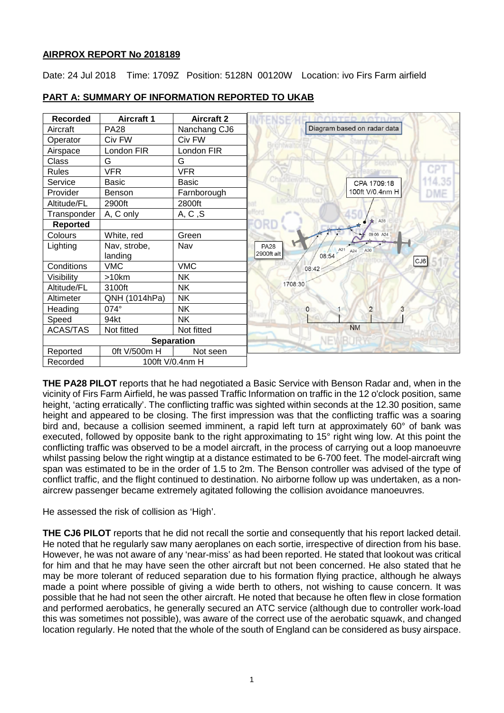## **AIRPROX REPORT No 2018189**

Date: 24 Jul 2018 Time: 1709Z Position: 5128N 00120W Location: ivo Firs Farm airfield



## **PART A: SUMMARY OF INFORMATION REPORTED TO UKAB**

**THE PA28 PILOT** reports that he had negotiated a Basic Service with Benson Radar and, when in the vicinity of Firs Farm Airfield, he was passed Traffic Information on traffic in the 12 o'clock position, same height, 'acting erratically'. The conflicting traffic was sighted within seconds at the 12.30 position, same height and appeared to be closing. The first impression was that the conflicting traffic was a soaring bird and, because a collision seemed imminent, a rapid left turn at approximately 60° of bank was executed, followed by opposite bank to the right approximating to 15° right wing low. At this point the conflicting traffic was observed to be a model aircraft, in the process of carrying out a loop manoeuvre whilst passing below the right wingtip at a distance estimated to be 6-700 feet. The model-aircraft wing span was estimated to be in the order of 1.5 to 2m. The Benson controller was advised of the type of conflict traffic, and the flight continued to destination. No airborne follow up was undertaken, as a nonaircrew passenger became extremely agitated following the collision avoidance manoeuvres.

He assessed the risk of collision as 'High'.

**THE CJ6 PILOT** reports that he did not recall the sortie and consequently that his report lacked detail. He noted that he regularly saw many aeroplanes on each sortie, irrespective of direction from his base. However, he was not aware of any 'near-miss' as had been reported. He stated that lookout was critical for him and that he may have seen the other aircraft but not been concerned. He also stated that he may be more tolerant of reduced separation due to his formation flying practice, although he always made a point where possible of giving a wide berth to others, not wishing to cause concern. It was possible that he had not seen the other aircraft. He noted that because he often flew in close formation and performed aerobatics, he generally secured an ATC service (although due to controller work-load this was sometimes not possible), was aware of the correct use of the aerobatic squawk, and changed location regularly. He noted that the whole of the south of England can be considered as busy airspace.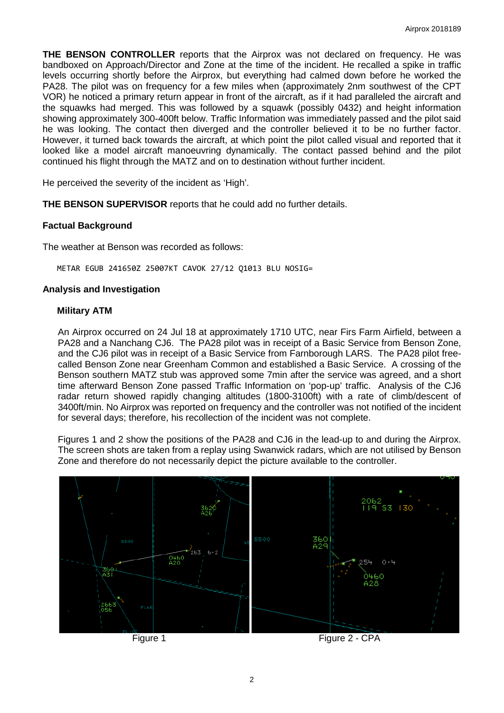**THE BENSON CONTROLLER** reports that the Airprox was not declared on frequency. He was bandboxed on Approach/Director and Zone at the time of the incident. He recalled a spike in traffic levels occurring shortly before the Airprox, but everything had calmed down before he worked the PA28. The pilot was on frequency for a few miles when (approximately 2nm southwest of the CPT VOR) he noticed a primary return appear in front of the aircraft, as if it had paralleled the aircraft and the squawks had merged. This was followed by a squawk (possibly 0432) and height information showing approximately 300-400ft below. Traffic Information was immediately passed and the pilot said he was looking. The contact then diverged and the controller believed it to be no further factor. However, it turned back towards the aircraft, at which point the pilot called visual and reported that it looked like a model aircraft manoeuvring dynamically. The contact passed behind and the pilot continued his flight through the MATZ and on to destination without further incident.

He perceived the severity of the incident as 'High'.

**THE BENSON SUPERVISOR** reports that he could add no further details.

### **Factual Background**

The weather at Benson was recorded as follows:

METAR EGUB 241650Z 25007KT CAVOK 27/12 Q1013 BLU NOSIG=

#### **Analysis and Investigation**

#### **Military ATM**

An Airprox occurred on 24 Jul 18 at approximately 1710 UTC, near Firs Farm Airfield, between a PA28 and a Nanchang CJ6. The PA28 pilot was in receipt of a Basic Service from Benson Zone, and the CJ6 pilot was in receipt of a Basic Service from Farnborough LARS. The PA28 pilot freecalled Benson Zone near Greenham Common and established a Basic Service. A crossing of the Benson southern MATZ stub was approved some 7min after the service was agreed, and a short time afterward Benson Zone passed Traffic Information on 'pop-up' traffic. Analysis of the CJ6 radar return showed rapidly changing altitudes (1800-3100ft) with a rate of climb/descent of 3400ft/min. No Airprox was reported on frequency and the controller was not notified of the incident for several days; therefore, his recollection of the incident was not complete.

Figures 1 and 2 show the positions of the PA28 and CJ6 in the lead-up to and during the Airprox. The screen shots are taken from a replay using Swanwick radars, which are not utilised by Benson Zone and therefore do not necessarily depict the picture available to the controller.



Figure 1 Figure 2 - CPA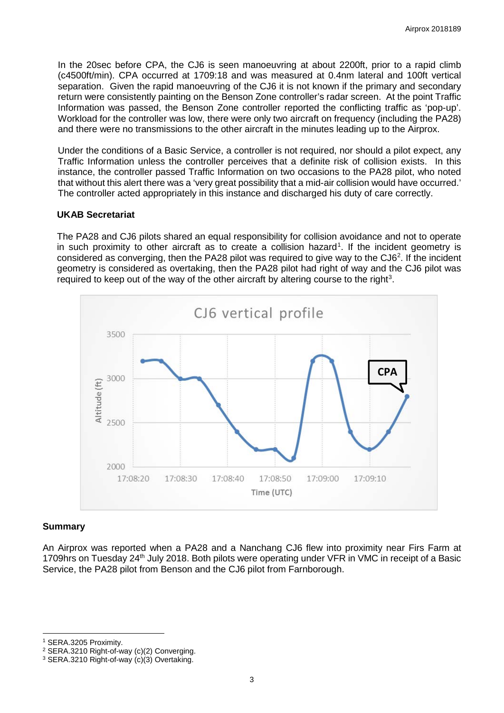In the 20sec before CPA, the CJ6 is seen manoeuvring at about 2200ft, prior to a rapid climb (c4500ft/min). CPA occurred at 1709:18 and was measured at 0.4nm lateral and 100ft vertical separation. Given the rapid manoeuvring of the CJ6 it is not known if the primary and secondary return were consistently painting on the Benson Zone controller's radar screen. At the point Traffic Information was passed, the Benson Zone controller reported the conflicting traffic as 'pop-up'. Workload for the controller was low, there were only two aircraft on frequency (including the PA28) and there were no transmissions to the other aircraft in the minutes leading up to the Airprox.

Under the conditions of a Basic Service, a controller is not required, nor should a pilot expect, any Traffic Information unless the controller perceives that a definite risk of collision exists. In this instance, the controller passed Traffic Information on two occasions to the PA28 pilot, who noted that without this alert there was a 'very great possibility that a mid-air collision would have occurred.' The controller acted appropriately in this instance and discharged his duty of care correctly.

#### **UKAB Secretariat**

The PA28 and CJ6 pilots shared an equal responsibility for collision avoidance and not to operate in such proximity to other aircraft as to create a collision hazard<sup>[1](#page-2-0)</sup>. If the incident geometry is considered as converging, then the PA28 pilot was required to give way to the CJ6<sup>2</sup>. If the incident geometry is considered as overtaking, then the PA28 pilot had right of way and the CJ6 pilot was required to keep out of the way of the other aircraft by altering course to the right<sup>[3](#page-2-2)</sup>.



#### **Summary**

An Airprox was reported when a PA28 and a Nanchang CJ6 flew into proximity near Firs Farm at 1709hrs on Tuesday 24<sup>th</sup> July 2018. Both pilots were operating under VFR in VMC in receipt of a Basic Service, the PA28 pilot from Benson and the CJ6 pilot from Farnborough.

 $\overline{\phantom{a}}$ 

<span id="page-2-0"></span><sup>1</sup> SERA.3205 Proximity.

<span id="page-2-1"></span><sup>2</sup> SERA.3210 Right-of-way (c)(2) Converging.

<span id="page-2-2"></span><sup>3</sup> SERA.3210 Right-of-way (c)(3) Overtaking.